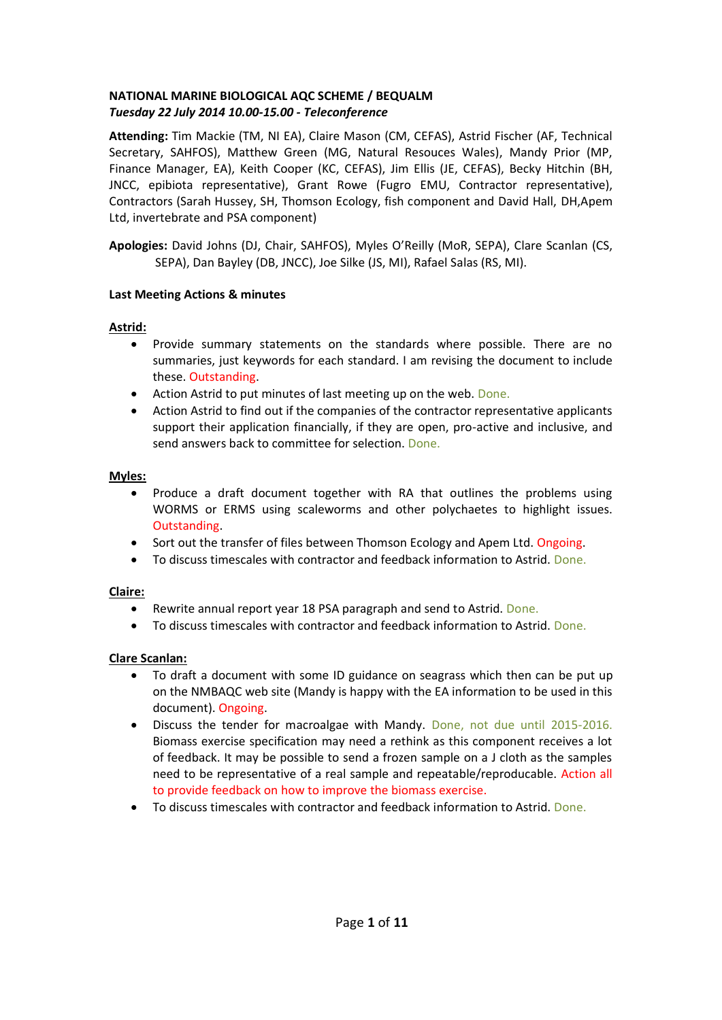## **NATIONAL MARINE BIOLOGICAL AQC SCHEME / BEQUALM** *Tuesday 22 July 2014 10.00-15.00 - Teleconference*

**Attending:** Tim Mackie (TM, NI EA), Claire Mason (CM, CEFAS), Astrid Fischer (AF, Technical Secretary, SAHFOS), Matthew Green (MG, Natural Resouces Wales), Mandy Prior (MP, Finance Manager, EA), Keith Cooper (KC, CEFAS), Jim Ellis (JE, CEFAS), Becky Hitchin (BH, JNCC, epibiota representative), Grant Rowe (Fugro EMU, Contractor representative), Contractors (Sarah Hussey, SH, Thomson Ecology, fish component and David Hall, DH,Apem Ltd, invertebrate and PSA component)

**Apologies:** David Johns (DJ, Chair, SAHFOS), Myles O'Reilly (MoR, SEPA), Clare Scanlan (CS, SEPA), Dan Bayley (DB, JNCC), Joe Silke (JS, MI), Rafael Salas (RS, MI).

## **Last Meeting Actions & minutes**

## **Astrid:**

- Provide summary statements on the standards where possible. There are no summaries, just keywords for each standard. I am revising the document to include these. Outstanding.
- Action Astrid to put minutes of last meeting up on the web. Done.
- Action Astrid to find out if the companies of the contractor representative applicants support their application financially, if they are open, pro-active and inclusive, and send answers back to committee for selection. Done.

## **Myles:**

- Produce a draft document together with RA that outlines the problems using WORMS or ERMS using scaleworms and other polychaetes to highlight issues. Outstanding.
- Sort out the transfer of files between Thomson Ecology and Apem Ltd. Ongoing.
- To discuss timescales with contractor and feedback information to Astrid. Done.

## **Claire:**

- Rewrite annual report year 18 PSA paragraph and send to Astrid. Done.
- To discuss timescales with contractor and feedback information to Astrid. Done.

## **Clare Scanlan:**

- To draft a document with some ID guidance on seagrass which then can be put up on the NMBAQC web site (Mandy is happy with the EA information to be used in this document). Ongoing.
- Discuss the tender for macroalgae with Mandy. Done, not due until 2015-2016. Biomass exercise specification may need a rethink as this component receives a lot of feedback. It may be possible to send a frozen sample on a J cloth as the samples need to be representative of a real sample and repeatable/reproducable. Action all to provide feedback on how to improve the biomass exercise.
- To discuss timescales with contractor and feedback information to Astrid. Done.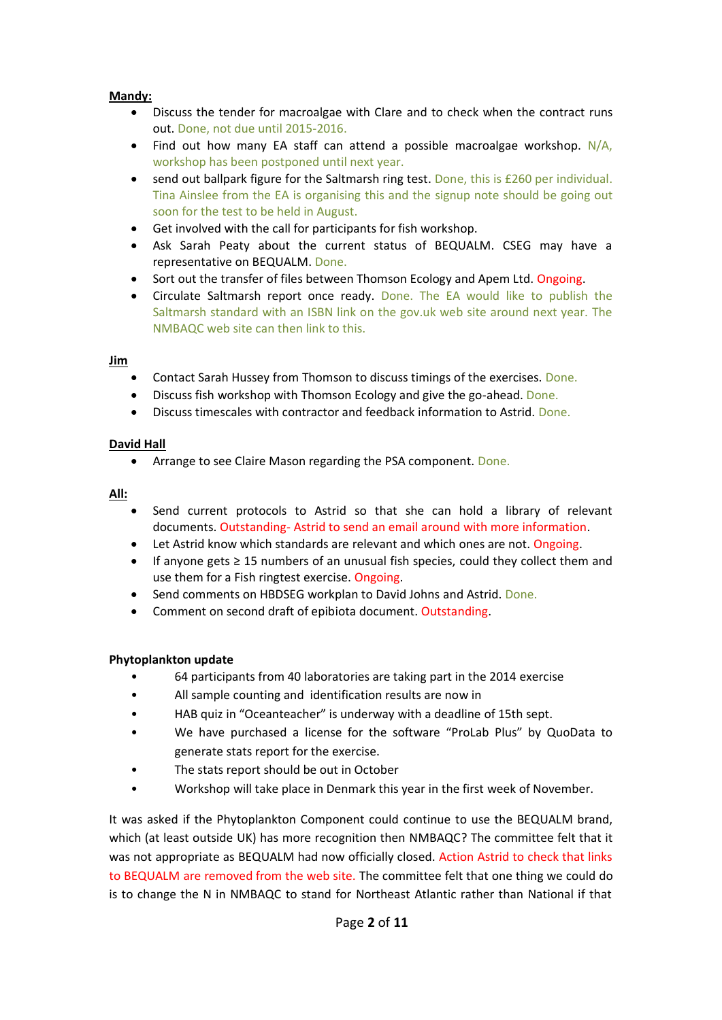## **Mandy:**

- Discuss the tender for macroalgae with Clare and to check when the contract runs out. Done, not due until 2015-2016.
- Find out how many EA staff can attend a possible macroalgae workshop. N/A, workshop has been postponed until next year.
- send out ballpark figure for the Saltmarsh ring test. Done, this is £260 per individual. Tina Ainslee from the EA is organising this and the signup note should be going out soon for the test to be held in August.
- Get involved with the call for participants for fish workshop.
- Ask Sarah Peaty about the current status of BEQUALM. CSEG may have a representative on BEQUALM. Done.
- Sort out the transfer of files between Thomson Ecology and Apem Ltd. Ongoing.
- Circulate Saltmarsh report once ready. Done. The EA would like to publish the Saltmarsh standard with an ISBN link on the gov.uk web site around next year. The NMBAQC web site can then link to this.

### **Jim**

- Contact Sarah Hussey from Thomson to discuss timings of the exercises. Done.
- Discuss fish workshop with Thomson Ecology and give the go-ahead. Done.
- Discuss timescales with contractor and feedback information to Astrid. Done.

## **David Hall**

• Arrange to see Claire Mason regarding the PSA component. Done.

### **All:**

- Send current protocols to Astrid so that she can hold a library of relevant documents. Outstanding- Astrid to send an email around with more information.
- Let Astrid know which standards are relevant and which ones are not. Ongoing.
- If anyone gets  $\geq$  15 numbers of an unusual fish species, could they collect them and use them for a Fish ringtest exercise. Ongoing.
- Send comments on HBDSEG workplan to David Johns and Astrid. Done.
- Comment on second draft of epibiota document. Outstanding.

### **Phytoplankton update**

- 64 participants from 40 laboratories are taking part in the 2014 exercise
- All sample counting and identification results are now in
- HAB quiz in "Oceanteacher" is underway with a deadline of 15th sept.
- We have purchased a license for the software "ProLab Plus" by QuoData to generate stats report for the exercise.
- The stats report should be out in October
- Workshop will take place in Denmark this year in the first week of November.

It was asked if the Phytoplankton Component could continue to use the BEQUALM brand, which (at least outside UK) has more recognition then NMBAQC? The committee felt that it was not appropriate as BEQUALM had now officially closed. Action Astrid to check that links to BEQUALM are removed from the web site. The committee felt that one thing we could do is to change the N in NMBAQC to stand for Northeast Atlantic rather than National if that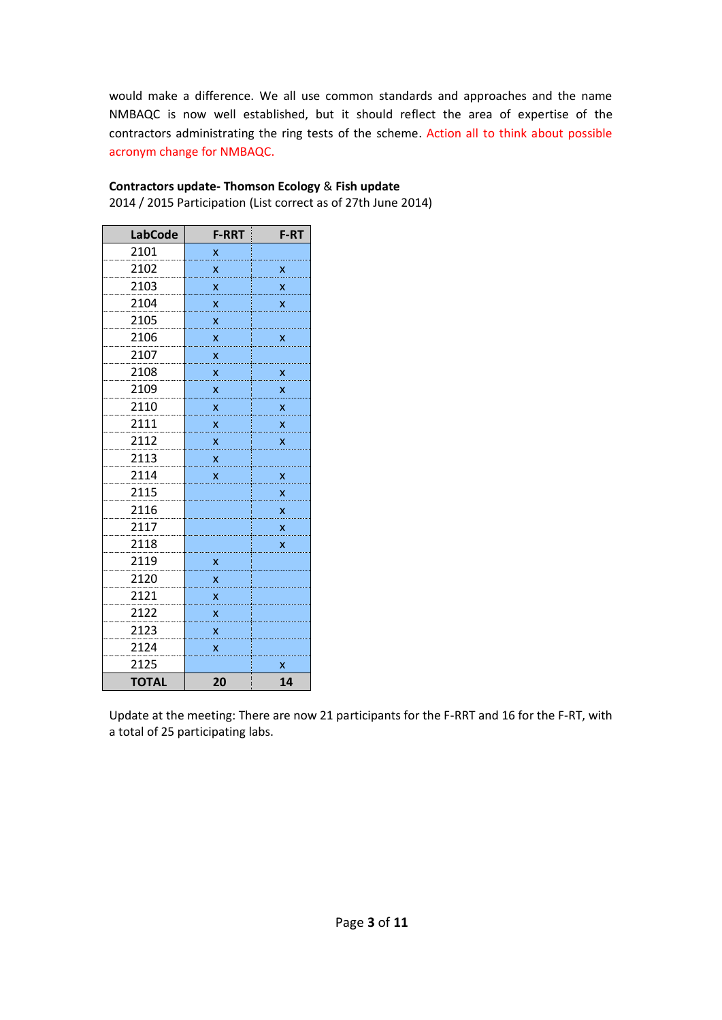would make a difference. We all use common standards and approaches and the name NMBAQC is now well established, but it should reflect the area of expertise of the contractors administrating the ring tests of the scheme. Action all to think about possible acronym change for NMBAQC.

| <b>LabCode</b> | <b>F-RRT</b> | F-RT |
|----------------|--------------|------|
| 2101           | x            |      |
| 2102           | x            | x    |
| 2103           | X            | x    |
| 2104           | x            | x    |
| 2105           | X            |      |
| 2106           | x            | x    |
| 2107           | x            |      |
| 2108           | x            | x    |
| 2109           | X            | x    |
| 2110           | X            | x    |
| 2111           | X            | x    |
| 2112           | x            | x    |
| 2113           | X            |      |
| 2114           | x            | x    |
| 2115           |              | x    |
| 2116           |              | X    |
| 2117           |              | x    |
| 2118           |              | x    |
| 2119           | х            |      |
| 2120           | x            |      |
| 2121           | x            |      |
| 2122           | x            |      |
| 2123           | x            |      |
| 2124           | X            |      |
| 2125           |              | x    |
| <b>TOTAL</b>   | 20           | 14   |

# **Contractors update- Thomson Ecology** & **Fish update**

2014 / 2015 Participation (List correct as of 27th June 2014)

Update at the meeting: There are now 21 participants for the F-RRT and 16 for the F-RT, with a total of 25 participating labs.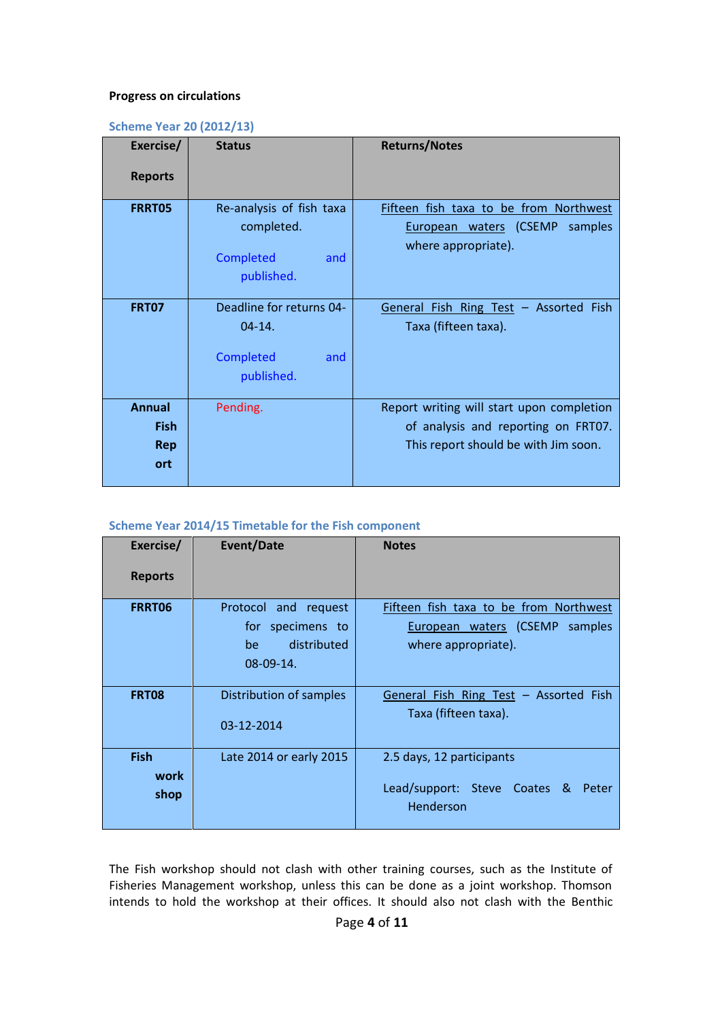#### **Progress on circulations**

## **Scheme Year 20 (2012/13)**

| Exercise/                                         | <b>Status</b>                                                            | <b>Returns/Notes</b>                                                                                                     |
|---------------------------------------------------|--------------------------------------------------------------------------|--------------------------------------------------------------------------------------------------------------------------|
| <b>Reports</b>                                    |                                                                          |                                                                                                                          |
| <b>FRRT05</b>                                     | Re-analysis of fish taxa<br>completed.<br>Completed<br>and<br>published. | Fifteen fish taxa to be from Northwest<br>European waters (CSEMP<br>samples<br>where appropriate).                       |
| <b>FRT07</b>                                      | Deadline for returns 04-<br>$04 - 14.$<br>Completed<br>and<br>published. | General Fish Ring Test - Assorted Fish<br>Taxa (fifteen taxa).                                                           |
| <b>Annual</b><br><b>Fish</b><br><b>Rep</b><br>ort | Pending.                                                                 | Report writing will start upon completion<br>of analysis and reporting on FRT07.<br>This report should be with Jim soon. |

## **Scheme Year 2014/15 Timetable for the Fish component**

| Exercise/      | <b>Event/Date</b>       | <b>Notes</b>                                       |
|----------------|-------------------------|----------------------------------------------------|
| <b>Reports</b> |                         |                                                    |
| FRRT06         | Protocol and request    | Fifteen fish taxa to be from Northwest             |
|                | for specimens to        | European waters (CSEMP samples                     |
|                | distributed<br>be.      | where appropriate).                                |
|                | 08-09-14.               |                                                    |
| <b>FRT08</b>   | Distribution of samples | General Fish Ring Test - Assorted Fish             |
|                | 03-12-2014              | Taxa (fifteen taxa).                               |
| <b>Fish</b>    | Late 2014 or early 2015 | 2.5 days, 12 participants                          |
| work           |                         |                                                    |
| shop           |                         | Lead/support: Steve Coates &<br>Peter<br>Henderson |

The Fish workshop should not clash with other training courses, such as the Institute of Fisheries Management workshop, unless this can be done as a joint workshop. Thomson intends to hold the workshop at their offices. It should also not clash with the Benthic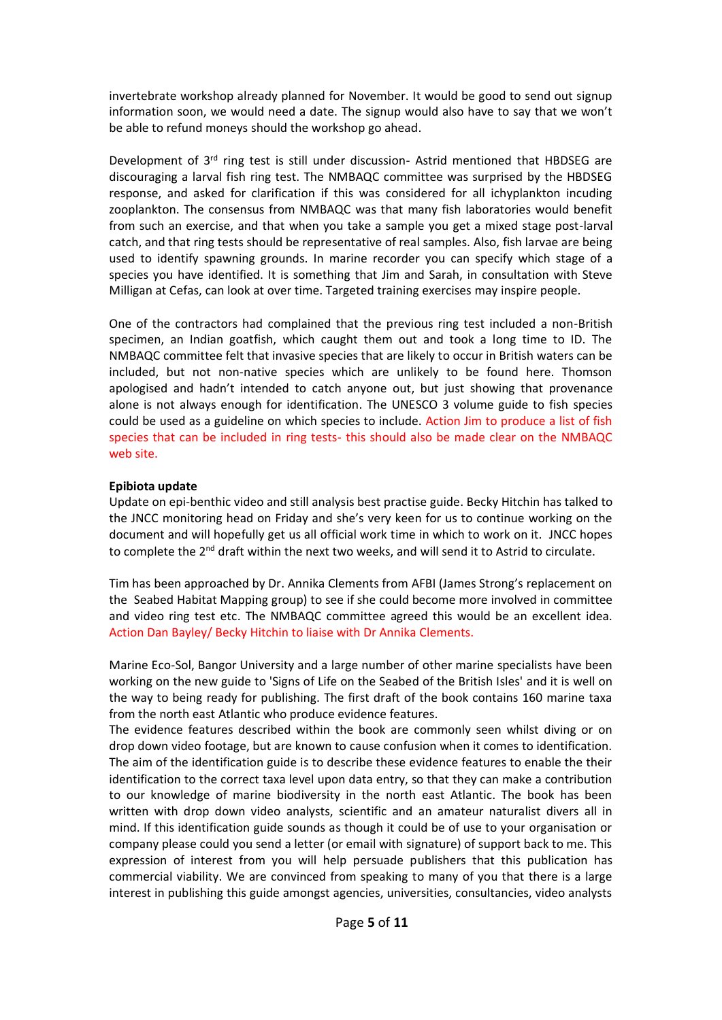invertebrate workshop already planned for November. It would be good to send out signup information soon, we would need a date. The signup would also have to say that we won't be able to refund moneys should the workshop go ahead.

Development of 3<sup>rd</sup> ring test is still under discussion- Astrid mentioned that HBDSEG are discouraging a larval fish ring test. The NMBAQC committee was surprised by the HBDSEG response, and asked for clarification if this was considered for all ichyplankton incuding zooplankton. The consensus from NMBAQC was that many fish laboratories would benefit from such an exercise, and that when you take a sample you get a mixed stage post-larval catch, and that ring tests should be representative of real samples. Also, fish larvae are being used to identify spawning grounds. In marine recorder you can specify which stage of a species you have identified. It is something that Jim and Sarah, in consultation with Steve Milligan at Cefas, can look at over time. Targeted training exercises may inspire people.

One of the contractors had complained that the previous ring test included a non-British specimen, an Indian goatfish, which caught them out and took a long time to ID. The NMBAQC committee felt that invasive species that are likely to occur in British waters can be included, but not non-native species which are unlikely to be found here. Thomson apologised and hadn't intended to catch anyone out, but just showing that provenance alone is not always enough for identification. The UNESCO 3 volume guide to fish species could be used as a guideline on which species to include. Action Jim to produce a list of fish species that can be included in ring tests- this should also be made clear on the NMBAQC web site.

## **Epibiota update**

Update on epi-benthic video and still analysis best practise guide. Becky Hitchin has talked to the JNCC monitoring head on Friday and she's very keen for us to continue working on the document and will hopefully get us all official work time in which to work on it. JNCC hopes to complete the 2<sup>nd</sup> draft within the next two weeks, and will send it to Astrid to circulate.

Tim has been approached by Dr. Annika Clements from AFBI (James Strong's replacement on the Seabed Habitat Mapping group) to see if she could become more involved in committee and video ring test etc. The NMBAQC committee agreed this would be an excellent idea. Action Dan Bayley/ Becky Hitchin to liaise with Dr Annika Clements.

Marine Eco-Sol, Bangor University and a large number of other marine specialists have been working on the new guide to 'Signs of Life on the Seabed of the British Isles' and it is well on the way to being ready for publishing. The first draft of the book contains 160 marine taxa from the north east Atlantic who produce evidence features.

The evidence features described within the book are commonly seen whilst diving or on drop down video footage, but are known to cause confusion when it comes to identification. The aim of the identification guide is to describe these evidence features to enable the their identification to the correct taxa level upon data entry, so that they can make a contribution to our knowledge of marine biodiversity in the north east Atlantic. The book has been written with drop down video analysts, scientific and an amateur naturalist divers all in mind. If this identification guide sounds as though it could be of use to your organisation or company please could you send a letter (or email with signature) of support back to me. This expression of interest from you will help persuade publishers that this publication has commercial viability. We are convinced from speaking to many of you that there is a large interest in publishing this guide amongst agencies, universities, consultancies, video analysts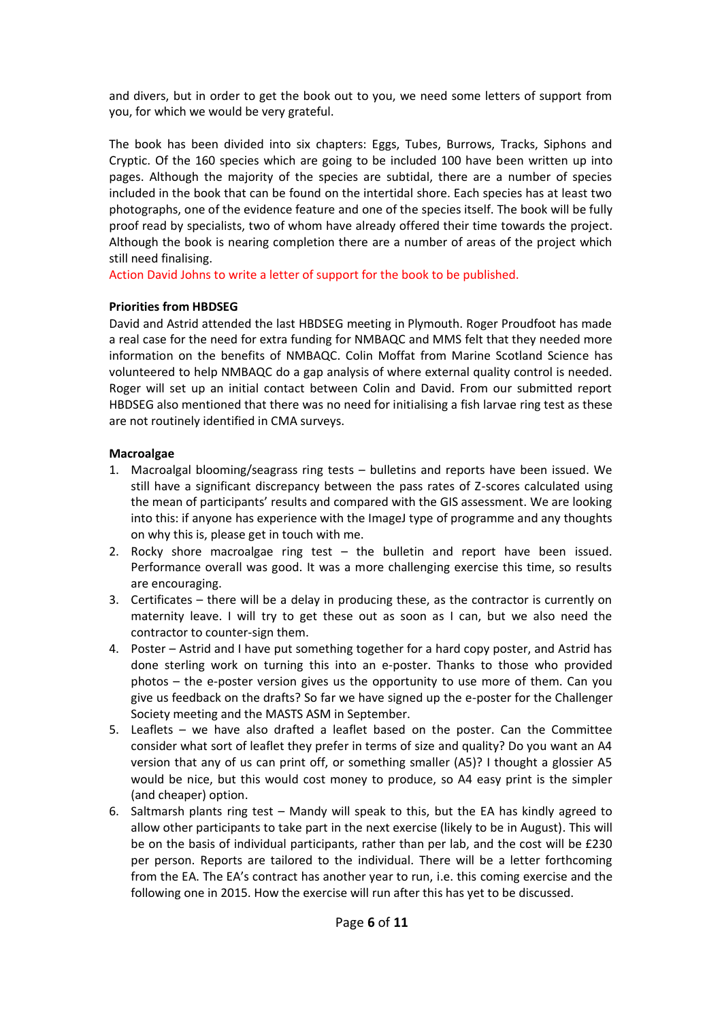and divers, but in order to get the book out to you, we need some letters of support from you, for which we would be very grateful.

The book has been divided into six chapters: Eggs, Tubes, Burrows, Tracks, Siphons and Cryptic. Of the 160 species which are going to be included 100 have been written up into pages. Although the majority of the species are subtidal, there are a number of species included in the book that can be found on the intertidal shore. Each species has at least two photographs, one of the evidence feature and one of the species itself. The book will be fully proof read by specialists, two of whom have already offered their time towards the project. Although the book is nearing completion there are a number of areas of the project which still need finalising.

Action David Johns to write a letter of support for the book to be published.

### **Priorities from HBDSEG**

David and Astrid attended the last HBDSEG meeting in Plymouth. Roger Proudfoot has made a real case for the need for extra funding for NMBAQC and MMS felt that they needed more information on the benefits of NMBAQC. Colin Moffat from Marine Scotland Science has volunteered to help NMBAQC do a gap analysis of where external quality control is needed. Roger will set up an initial contact between Colin and David. From our submitted report HBDSEG also mentioned that there was no need for initialising a fish larvae ring test as these are not routinely identified in CMA surveys.

## **Macroalgae**

- 1. Macroalgal blooming/seagrass ring tests bulletins and reports have been issued. We still have a significant discrepancy between the pass rates of Z-scores calculated using the mean of participants' results and compared with the GIS assessment. We are looking into this: if anyone has experience with the ImageJ type of programme and any thoughts on why this is, please get in touch with me.
- 2. Rocky shore macroalgae ring test the bulletin and report have been issued. Performance overall was good. It was a more challenging exercise this time, so results are encouraging.
- 3. Certificates there will be a delay in producing these, as the contractor is currently on maternity leave. I will try to get these out as soon as I can, but we also need the contractor to counter-sign them.
- 4. Poster Astrid and I have put something together for a hard copy poster, and Astrid has done sterling work on turning this into an e-poster. Thanks to those who provided photos – the e-poster version gives us the opportunity to use more of them. Can you give us feedback on the drafts? So far we have signed up the e-poster for the Challenger Society meeting and the MASTS ASM in September.
- 5. Leaflets we have also drafted a leaflet based on the poster. Can the Committee consider what sort of leaflet they prefer in terms of size and quality? Do you want an A4 version that any of us can print off, or something smaller (A5)? I thought a glossier A5 would be nice, but this would cost money to produce, so A4 easy print is the simpler (and cheaper) option.
- 6. Saltmarsh plants ring test Mandy will speak to this, but the EA has kindly agreed to allow other participants to take part in the next exercise (likely to be in August). This will be on the basis of individual participants, rather than per lab, and the cost will be £230 per person. Reports are tailored to the individual. There will be a letter forthcoming from the EA. The EA's contract has another year to run, i.e. this coming exercise and the following one in 2015. How the exercise will run after this has yet to be discussed.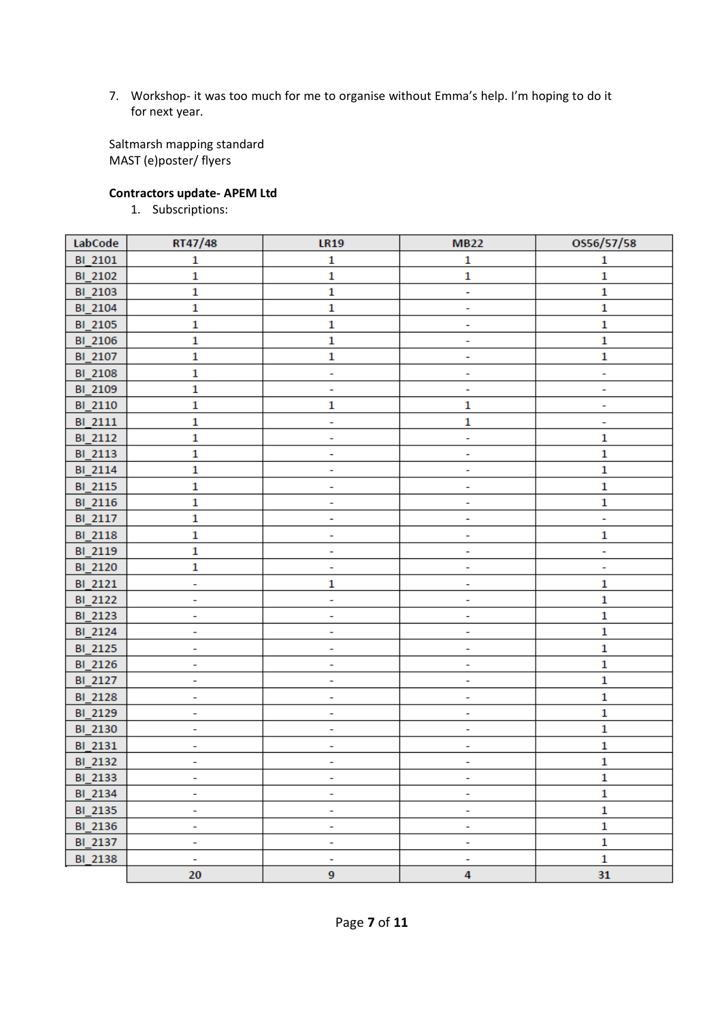7. Workshop- it was too much for me to organise without Emma's help. I'm hoping to do it for next year.

Saltmarsh mapping standard MAST (e)poster/ flyers

## **Contractors update- APEM Ltd**

1. Subscriptions:

| LabCode        | RT47/48                  | <b>LR19</b>              | <b>MB22</b>    | OS56/57/58   |
|----------------|--------------------------|--------------------------|----------------|--------------|
| BI_2101        | $\mathbf{1}$             | $\mathbf{1}$             | $\mathbf 1$    | $\mathbf{1}$ |
| BI_2102        | $\mathbf{1}$             | $\mathbf{1}$             | $\mathbf{1}$   | $\mathbf 1$  |
| BI_2103        | $\overline{\mathbf{1}}$  | $\mathbf{1}$             | ÷,             | $\mathbf 1$  |
| BI 2104        | $\mathbf{1}$             | $\mathbf{1}$             | ÷              | $\mathbf 1$  |
| BI_2105        | $\mathbf{1}$             | $\mathbf{1}$             | ÷              | $\mathbf 1$  |
| BI_2106        | $\mathbf{1}$             | $\mathbf{1}$             | ۰              | $\mathbf 1$  |
| BI_2107        | $\mathbf{1}$             | $\mathbf{1}$             | ÷              | $\mathbf{1}$ |
| BI_2108        | $\mathbf{1}$             | Ξ                        | ۰              | ۰            |
| BI_2109        | $\mathbf{1}$             | ÷                        | ۰              | ۰            |
| BI_2110        | $\mathbf{1}$             | $\mathbf{1}$             | 1              | ۰            |
| BI_2111        | $\mathbf{1}$             | ÷,                       | $\mathbf{1}$   | ÷            |
| BI_2112        | $\mathbf{1}$             | ÷                        | ÷              | $\mathbf 1$  |
| BI_2113        | $\mathbf{1}$             | ÷                        | Ξ              | $\mathbf 1$  |
| BI_2114        | $\mathbf{1}$             | ä,                       | ÷              | $\mathbf{1}$ |
| BI_2115        | $\mathbf{1}$             | Ξ                        | Ξ              | $\mathbf 1$  |
| BI_2116        | $\mathbf{1}$             | ÷,                       | ÷              | $\mathbf 1$  |
| BI_2117        | $\mathbf{1}$             | ۰                        | ۰              | ÷            |
| <b>BI_2118</b> | $\mathbf{1}$             | ÷                        | ۰              | 1            |
| BI_2119        | $\mathbf{1}$             | ۰                        | ۰              | ۰            |
| BI_2120        | $\mathbf{1}$             | ÷                        | ۰              | ۰            |
| BI_2121        | ÷                        | $\mathbf{1}$             | ۰              | $\mathbf 1$  |
| BI_2122        | ÷                        | ÷                        | ۰              | $\mathbf 1$  |
| BI_2123        | ÷                        | ۰                        | ۰              | $\mathbf 1$  |
| BI_2124        | ÷,                       | ÷                        | ÷              | $\mathbf 1$  |
| BI_2125        | ÷                        | ۰                        | ۰              | $\mathbf 1$  |
| BI_2126        | ۰                        | ۰                        | ۰              | $\mathbf 1$  |
| BI_2127        | ۰                        | ۰                        | ۰              | $\mathbf 1$  |
| <b>BI_2128</b> | ۰                        | ۰                        | ۰              | $\mathbf 1$  |
| BI_2129        | ÷,                       | ä,                       | ÷              | $\mathbf 1$  |
| BI_2130        | ۰                        | ۰                        | ۰              | $\mathbf 1$  |
| BI_2131        | ۰                        | ÷                        | ۰              | $\mathbf 1$  |
| BI_2132        | ÷                        | ÷                        | ÷              | $\mathbf 1$  |
| BI_2133        | ٠                        | ٠                        | ٠              | $\mathbf{1}$ |
| BI_2134        | ÷,                       | ÷,                       | ÷,             | $\mathbf 1$  |
| BI_2135        | ۰                        | ÷                        | ٠              | $\mathbf 1$  |
| BI_2136        | $\overline{\phantom{a}}$ | $\overline{\phantom{a}}$ | Ξ              | $\mathbf 1$  |
| BI_2137        | ٠                        | ۰                        | ٠              | $\mathbf 1$  |
| BI_2138        | $\overline{\phantom{a}}$ | Ξ                        | ۰              | $\mathbf 1$  |
|                | 20                       | 9 <sup>°</sup>           | $\overline{4}$ | 31           |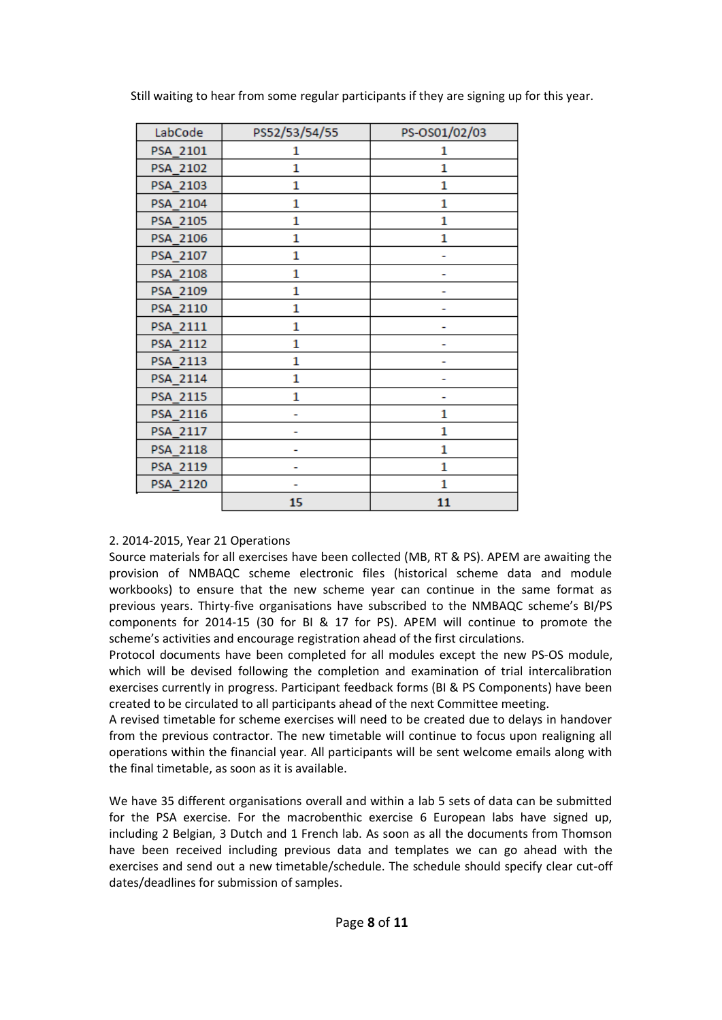| LabCode  | PS52/53/54/55 | PS-OS01/02/03 |
|----------|---------------|---------------|
| PSA 2101 | 1             | 1             |
| PSA 2102 | 1             | 1             |
| PSA 2103 | 1             | 1             |
| PSA 2104 | 1             | 1             |
| PSA 2105 | $\mathbf{1}$  | 1             |
| PSA 2106 | 1             | 1             |
| PSA 2107 | 1             |               |
| PSA 2108 | 1             |               |
| PSA 2109 | 1             |               |
| PSA 2110 | 1             |               |
| PSA 2111 | $\mathbf{1}$  |               |
| PSA 2112 | 1             |               |
| PSA 2113 | 1             |               |
| PSA 2114 | 1             |               |
| PSA 2115 | 1             |               |
| PSA 2116 |               | 1             |
| PSA 2117 |               | 1             |
| PSA 2118 |               | 1             |
| PSA 2119 |               | 1             |
| PSA 2120 |               | 1             |
|          | 15            | 11            |

Still waiting to hear from some regular participants if they are signing up for this year.

### 2. 2014-2015, Year 21 Operations

Source materials for all exercises have been collected (MB, RT & PS). APEM are awaiting the provision of NMBAQC scheme electronic files (historical scheme data and module workbooks) to ensure that the new scheme year can continue in the same format as previous years. Thirty-five organisations have subscribed to the NMBAQC scheme's BI/PS components for 2014-15 (30 for BI & 17 for PS). APEM will continue to promote the scheme's activities and encourage registration ahead of the first circulations.

Protocol documents have been completed for all modules except the new PS-OS module, which will be devised following the completion and examination of trial intercalibration exercises currently in progress. Participant feedback forms (BI & PS Components) have been created to be circulated to all participants ahead of the next Committee meeting.

A revised timetable for scheme exercises will need to be created due to delays in handover from the previous contractor. The new timetable will continue to focus upon realigning all operations within the financial year. All participants will be sent welcome emails along with the final timetable, as soon as it is available.

We have 35 different organisations overall and within a lab 5 sets of data can be submitted for the PSA exercise. For the macrobenthic exercise 6 European labs have signed up, including 2 Belgian, 3 Dutch and 1 French lab. As soon as all the documents from Thomson have been received including previous data and templates we can go ahead with the exercises and send out a new timetable/schedule. The schedule should specify clear cut-off dates/deadlines for submission of samples.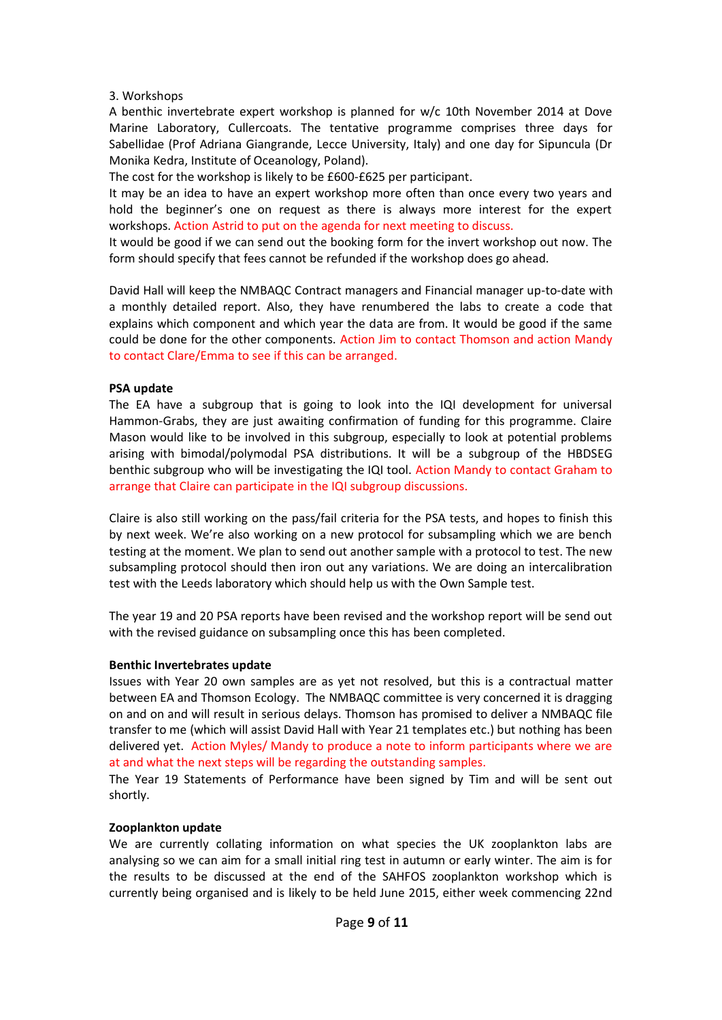#### 3. Workshops

A benthic invertebrate expert workshop is planned for w/c 10th November 2014 at Dove Marine Laboratory, Cullercoats. The tentative programme comprises three days for Sabellidae (Prof Adriana Giangrande, Lecce University, Italy) and one day for Sipuncula (Dr Monika Kedra, Institute of Oceanology, Poland).

The cost for the workshop is likely to be £600-£625 per participant.

It may be an idea to have an expert workshop more often than once every two years and hold the beginner's one on request as there is always more interest for the expert workshops. Action Astrid to put on the agenda for next meeting to discuss.

It would be good if we can send out the booking form for the invert workshop out now. The form should specify that fees cannot be refunded if the workshop does go ahead.

David Hall will keep the NMBAQC Contract managers and Financial manager up-to-date with a monthly detailed report. Also, they have renumbered the labs to create a code that explains which component and which year the data are from. It would be good if the same could be done for the other components. Action Jim to contact Thomson and action Mandy to contact Clare/Emma to see if this can be arranged.

#### **PSA update**

The EA have a subgroup that is going to look into the IQI development for universal Hammon-Grabs, they are just awaiting confirmation of funding for this programme. Claire Mason would like to be involved in this subgroup, especially to look at potential problems arising with bimodal/polymodal PSA distributions. It will be a subgroup of the HBDSEG benthic subgroup who will be investigating the IQI tool. Action Mandy to contact Graham to arrange that Claire can participate in the IQI subgroup discussions.

Claire is also still working on the pass/fail criteria for the PSA tests, and hopes to finish this by next week. We're also working on a new protocol for subsampling which we are bench testing at the moment. We plan to send out another sample with a protocol to test. The new subsampling protocol should then iron out any variations. We are doing an intercalibration test with the Leeds laboratory which should help us with the Own Sample test.

The year 19 and 20 PSA reports have been revised and the workshop report will be send out with the revised guidance on subsampling once this has been completed.

### **Benthic Invertebrates update**

Issues with Year 20 own samples are as yet not resolved, but this is a contractual matter between EA and Thomson Ecology. The NMBAQC committee is very concerned it is dragging on and on and will result in serious delays. Thomson has promised to deliver a NMBAQC file transfer to me (which will assist David Hall with Year 21 templates etc.) but nothing has been delivered yet. Action Myles/ Mandy to produce a note to inform participants where we are at and what the next steps will be regarding the outstanding samples.

The Year 19 Statements of Performance have been signed by Tim and will be sent out shortly.

### **Zooplankton update**

We are currently collating information on what species the UK zooplankton labs are analysing so we can aim for a small initial ring test in autumn or early winter. The aim is for the results to be discussed at the end of the SAHFOS zooplankton workshop which is currently being organised and is likely to be held June 2015, either week commencing 22nd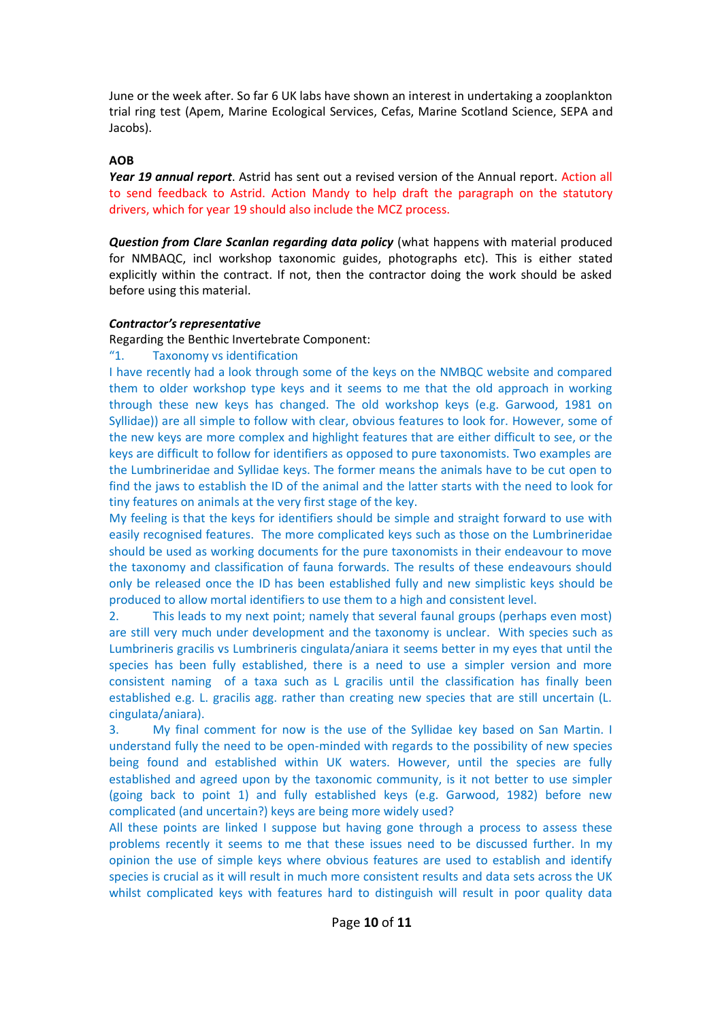June or the week after. So far 6 UK labs have shown an interest in undertaking a zooplankton trial ring test (Apem, Marine Ecological Services, Cefas, Marine Scotland Science, SEPA and Jacobs).

#### **AOB**

*Year 19 annual report*. Astrid has sent out a revised version of the Annual report. Action all to send feedback to Astrid. Action Mandy to help draft the paragraph on the statutory drivers, which for year 19 should also include the MCZ process.

*Question from Clare Scanlan regarding data policy* (what happens with material produced for NMBAQC, incl workshop taxonomic guides, photographs etc). This is either stated explicitly within the contract. If not, then the contractor doing the work should be asked before using this material.

#### *Contractor's representative*

Regarding the Benthic Invertebrate Component:

"1. Taxonomy vs identification

I have recently had a look through some of the keys on the NMBQC website and compared them to older workshop type keys and it seems to me that the old approach in working through these new keys has changed. The old workshop keys (e.g. Garwood, 1981 on Syllidae)) are all simple to follow with clear, obvious features to look for. However, some of the new keys are more complex and highlight features that are either difficult to see, or the keys are difficult to follow for identifiers as opposed to pure taxonomists. Two examples are the Lumbrineridae and Syllidae keys. The former means the animals have to be cut open to find the jaws to establish the ID of the animal and the latter starts with the need to look for tiny features on animals at the very first stage of the key.

My feeling is that the keys for identifiers should be simple and straight forward to use with easily recognised features. The more complicated keys such as those on the Lumbrineridae should be used as working documents for the pure taxonomists in their endeavour to move the taxonomy and classification of fauna forwards. The results of these endeavours should only be released once the ID has been established fully and new simplistic keys should be produced to allow mortal identifiers to use them to a high and consistent level.

2. This leads to my next point; namely that several faunal groups (perhaps even most) are still very much under development and the taxonomy is unclear. With species such as Lumbrineris gracilis vs Lumbrineris cingulata/aniara it seems better in my eyes that until the species has been fully established, there is a need to use a simpler version and more consistent naming of a taxa such as L gracilis until the classification has finally been established e.g. L. gracilis agg. rather than creating new species that are still uncertain (L. cingulata/aniara).

3. My final comment for now is the use of the Syllidae key based on San Martin. I understand fully the need to be open-minded with regards to the possibility of new species being found and established within UK waters. However, until the species are fully established and agreed upon by the taxonomic community, is it not better to use simpler (going back to point 1) and fully established keys (e.g. Garwood, 1982) before new complicated (and uncertain?) keys are being more widely used?

All these points are linked I suppose but having gone through a process to assess these problems recently it seems to me that these issues need to be discussed further. In my opinion the use of simple keys where obvious features are used to establish and identify species is crucial as it will result in much more consistent results and data sets across the UK whilst complicated keys with features hard to distinguish will result in poor quality data